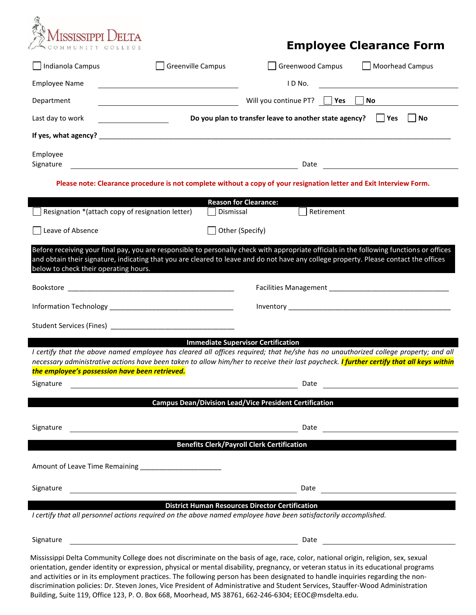

## **Employee Clearance Form**

| Indianola Campus                                                                                                                                                                                                                                                                                                                                                                                            | <b>Greenville Campus</b>                                                                                            | <b>Greenwood Campus</b> |            | <b>Moorhead Campus</b>                      |  |
|-------------------------------------------------------------------------------------------------------------------------------------------------------------------------------------------------------------------------------------------------------------------------------------------------------------------------------------------------------------------------------------------------------------|---------------------------------------------------------------------------------------------------------------------|-------------------------|------------|---------------------------------------------|--|
| <b>Employee Name</b>                                                                                                                                                                                                                                                                                                                                                                                        |                                                                                                                     | IDNo.                   |            |                                             |  |
| Department                                                                                                                                                                                                                                                                                                                                                                                                  |                                                                                                                     | Will you continue PT?   | Yes        | No.                                         |  |
| Last day to work                                                                                                                                                                                                                                                                                                                                                                                            | Do you plan to transfer leave to another state agency?<br>No<br>Yes                                                 |                         |            |                                             |  |
|                                                                                                                                                                                                                                                                                                                                                                                                             |                                                                                                                     |                         |            |                                             |  |
| Employee<br>Signature                                                                                                                                                                                                                                                                                                                                                                                       | <u> 1989 - Johann Barn, fransk politik fotograf (d. 1989)</u>                                                       | Date                    |            | <u> 1980 - Jan Barbara Barat, politik a</u> |  |
|                                                                                                                                                                                                                                                                                                                                                                                                             | Please note: Clearance procedure is not complete without a copy of your resignation letter and Exit Interview Form. |                         |            |                                             |  |
|                                                                                                                                                                                                                                                                                                                                                                                                             | <b>Reason for Clearance:</b>                                                                                        |                         |            |                                             |  |
| Resignation *(attach copy of resignation letter)                                                                                                                                                                                                                                                                                                                                                            | Dismissal                                                                                                           |                         | Retirement |                                             |  |
| Leave of Absence                                                                                                                                                                                                                                                                                                                                                                                            | Other (Specify)                                                                                                     |                         |            |                                             |  |
| Before receiving your final pay, you are responsible to personally check with appropriate officials in the following functions or offices<br>and obtain their signature, indicating that you are cleared to leave and do not have any college property. Please contact the offices<br>below to check their operating hours.                                                                                 |                                                                                                                     |                         |            |                                             |  |
|                                                                                                                                                                                                                                                                                                                                                                                                             |                                                                                                                     |                         |            |                                             |  |
|                                                                                                                                                                                                                                                                                                                                                                                                             |                                                                                                                     |                         |            |                                             |  |
|                                                                                                                                                                                                                                                                                                                                                                                                             |                                                                                                                     |                         |            |                                             |  |
| I certify that the above named employee has cleared all offices required; that he/she has no unauthorized college property; and all<br>necessary administrative actions have been taken to allow him/her to receive their last paycheck. I further certify that all keys within<br>the employee's possession have been retrieved.                                                                           | <b>Immediate Supervisor Certification</b>                                                                           |                         |            |                                             |  |
| Signature                                                                                                                                                                                                                                                                                                                                                                                                   |                                                                                                                     | Date                    |            |                                             |  |
|                                                                                                                                                                                                                                                                                                                                                                                                             | <b>Campus Dean/Division Lead/Vice President Certification</b>                                                       |                         |            |                                             |  |
| Signature                                                                                                                                                                                                                                                                                                                                                                                                   |                                                                                                                     | Date                    |            |                                             |  |
|                                                                                                                                                                                                                                                                                                                                                                                                             | <b>Benefits Clerk/Payroll Clerk Certification</b>                                                                   |                         |            |                                             |  |
| Amount of Leave Time Remaining _________________________                                                                                                                                                                                                                                                                                                                                                    |                                                                                                                     |                         |            |                                             |  |
| Signature                                                                                                                                                                                                                                                                                                                                                                                                   |                                                                                                                     | Date                    |            |                                             |  |
| I certify that all personnel actions required on the above named employee have been satisfactorily accomplished.                                                                                                                                                                                                                                                                                            | <b>District Human Resources Director Certification</b>                                                              |                         |            |                                             |  |
| Signature                                                                                                                                                                                                                                                                                                                                                                                                   | <u> 1980 - Johann Barbara, martxa alemaniar amerikan a</u>                                                          | Date                    |            |                                             |  |
| Mississippi Delta Community College does not discriminate on the basis of age, race, color, national origin, religion, sex, sexual<br>orientation, gender identity or expression, physical or mental disability, pregnancy, or veteran status in its educational programs<br>and activities or in its employment practices. The following person has been designated to handle inquiries regarding the non- |                                                                                                                     |                         |            |                                             |  |

discrimination policies: Dr. Steven Jones, Vice President of Administrative and Student Services, Stauffer-Wood Administration Building, Suite 119, Office 123, P. O. Box 668, Moorhead, MS 38761, 662-246-6304; EEOC@msdelta.edu.